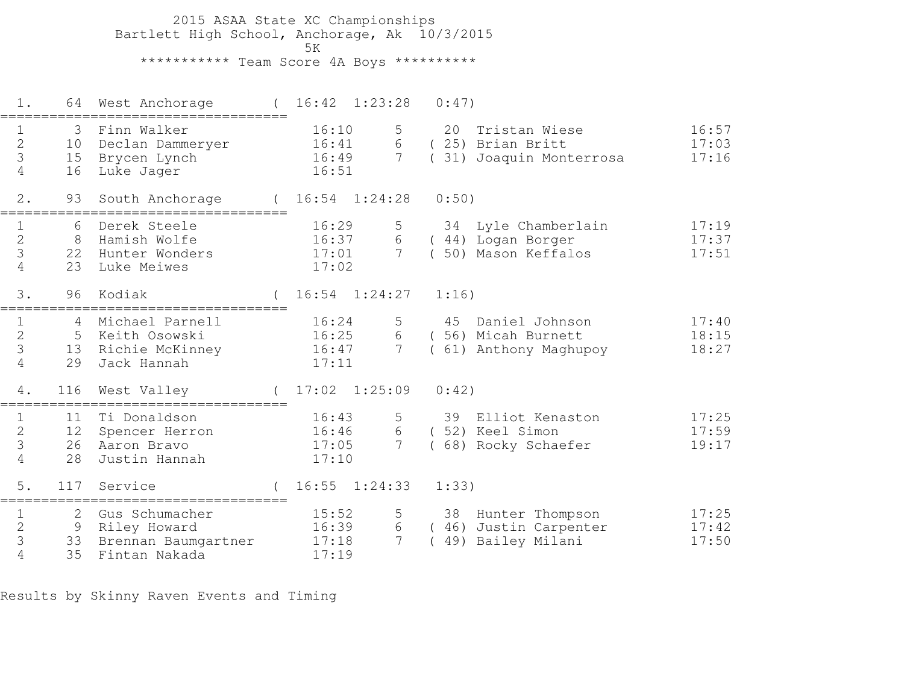2015 ASAA State XC Championships Bartlett High School, Anchorage, Ak 10/3/2015ta di kacamatan ing Kabupatèn Kabupatèn Kabupatèn Kabupatèn Kabupatèn Kabupatèn Kabupatèn Kabupatèn K \*\*\*\*\*\*\*\*\*\*\* Team Score 4A Boys \*\*\*\*\*\*\*\*\*\*

 1. 64 West Anchorage ( 16:42 1:23:28 0:47)=================================== 1 3 Finn Walker 16:10 5 20 Tristan Wiese 16:57 2 10 Declan Dammeryer 16:41 6 ( 25) Brian Britt 17:03 3 15 Brycen Lynch 16:49 7 ( 31) Joaquin Monterrosa 17:16 4 16 Luke Jager 16:51 2. 93 South Anchorage ( 16:54 1:24:28 0:50)=================================== 1 6 Derek Steele 16:29 5 34 Lyle Chamberlain 17:19 2 8 Hamish Wolfe 16:37 6 ( 44) Logan Borger 17:37 3 22 Hunter Wonders 17:01 7 ( 50) Mason Keffalos 17:51 4 23 Luke Meiwes 17:02 3. 96 Kodiak ( 16:54 1:24:27 1:16)=================================== 1 4 Michael Parnell 16:24 5 45 Daniel Johnson 17:40 2 5 Keith Osowski 16:25 6 ( 56) Micah Burnett 18:15 3 13 Richie McKinney 16:47 7 ( 61) Anthony Maghupoy 18:27 4 29 Jack Hannah 17:11 4. 116 West Valley ( 17:02 1:25:09 0:42)=================================== 1 11 Ti Donaldson 16:43 5 39 Elliot Kenaston 17:25 2 12 Spencer Herron 16:46 6 ( 52) Keel Simon 17:59 3 26 Aaron Bravo 17:05 7 ( 68) Rocky Schaefer 19:17 4 28 Justin Hannah 17:10 5. 117 Service ( 16:55 1:24:33 1:33)===================================1 2 Gus Schumacher 15:52 5 38 Hunter Thompson 17:25 2 9 Riley Howard 16:39 6 ( 46) Justin Carpenter 17:42 3 33 Brennan Baumgartner 17:18 7 ( 49) Bailey Milani 17:50 4 35 Fintan Nakada 17:19

Results by Skinny Raven Events and Timing